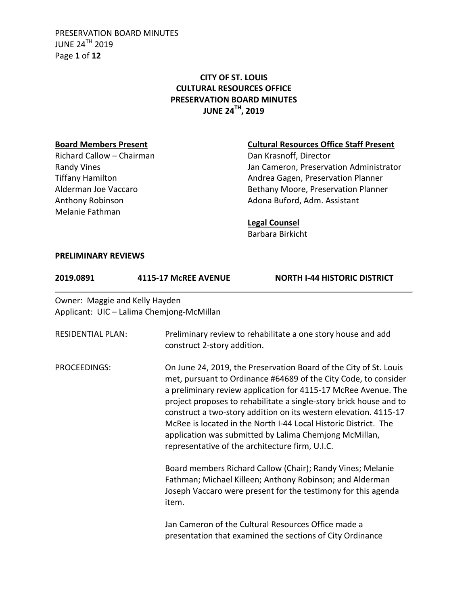PRESERVATION BOARD MINUTES JUNE 24TH 2019 Page **1** of **12**

# **CITY OF ST. LOUIS CULTURAL RESOURCES OFFICE PRESERVATION BOARD MINUTES JUNE 24TH, 2019**

Richard Callow – Chairman Dan Krasnoff, Director Melanie Fathman

## **Board Members Present Cultural Resources Office Staff Present**

Randy Vines **National Community Community** Jan Cameron, Preservation Administrator Tiffany Hamilton **Andrea Gagen, Preservation Planner** Alderman Joe Vaccaro **Bethany Moore, Preservation Planner** Anthony Robinson **Adona Buford, Adm. Assistant** 

### **Legal Counsel**

Barbara Birkicht

#### **PRELIMINARY REVIEWS**

| 2019.0891                      | 4115-17 McREE AVENUE                      | <b>NORTH I-44 HISTORIC DISTRICT</b>                                                                                                                                                                                                                                                                                                                                                                                                                                                                                              |  |
|--------------------------------|-------------------------------------------|----------------------------------------------------------------------------------------------------------------------------------------------------------------------------------------------------------------------------------------------------------------------------------------------------------------------------------------------------------------------------------------------------------------------------------------------------------------------------------------------------------------------------------|--|
| Owner: Maggie and Kelly Hayden | Applicant: UIC - Lalima Chemjong-McMillan |                                                                                                                                                                                                                                                                                                                                                                                                                                                                                                                                  |  |
| <b>RESIDENTIAL PLAN:</b>       |                                           | Preliminary review to rehabilitate a one story house and add<br>construct 2-story addition.                                                                                                                                                                                                                                                                                                                                                                                                                                      |  |
| PROCEEDINGS:                   |                                           | On June 24, 2019, the Preservation Board of the City of St. Louis<br>met, pursuant to Ordinance #64689 of the City Code, to consider<br>a preliminary review application for 4115-17 McRee Avenue. The<br>project proposes to rehabilitate a single-story brick house and to<br>construct a two-story addition on its western elevation. 4115-17<br>McRee is located in the North I-44 Local Historic District. The<br>application was submitted by Lalima Chemjong McMillan,<br>representative of the architecture firm, U.I.C. |  |
|                                | item.                                     | Board members Richard Callow (Chair); Randy Vines; Melanie<br>Fathman; Michael Killeen; Anthony Robinson; and Alderman<br>Joseph Vaccaro were present for the testimony for this agenda                                                                                                                                                                                                                                                                                                                                          |  |
|                                |                                           | Jan Cameron of the Cultural Resources Office made a<br>presentation that examined the sections of City Ordinance                                                                                                                                                                                                                                                                                                                                                                                                                 |  |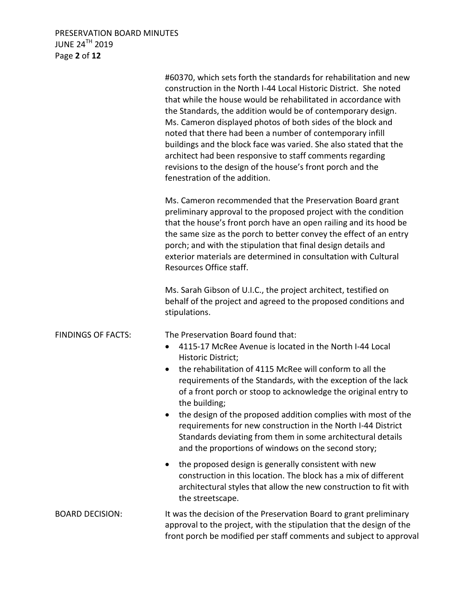# PRESERVATION BOARD MINUTES JUNE 24 $^{\sf TH}$  2019 Page **2** of **12**

|                           | #60370, which sets forth the standards for rehabilitation and new<br>construction in the North I-44 Local Historic District. She noted<br>that while the house would be rehabilitated in accordance with<br>the Standards, the addition would be of contemporary design.<br>Ms. Cameron displayed photos of both sides of the block and<br>noted that there had been a number of contemporary infill<br>buildings and the block face was varied. She also stated that the<br>architect had been responsive to staff comments regarding<br>revisions to the design of the house's front porch and the<br>fenestration of the addition. |
|---------------------------|---------------------------------------------------------------------------------------------------------------------------------------------------------------------------------------------------------------------------------------------------------------------------------------------------------------------------------------------------------------------------------------------------------------------------------------------------------------------------------------------------------------------------------------------------------------------------------------------------------------------------------------|
|                           | Ms. Cameron recommended that the Preservation Board grant<br>preliminary approval to the proposed project with the condition<br>that the house's front porch have an open railing and its hood be<br>the same size as the porch to better convey the effect of an entry<br>porch; and with the stipulation that final design details and<br>exterior materials are determined in consultation with Cultural<br>Resources Office staff.                                                                                                                                                                                                |
|                           | Ms. Sarah Gibson of U.I.C., the project architect, testified on<br>behalf of the project and agreed to the proposed conditions and<br>stipulations.                                                                                                                                                                                                                                                                                                                                                                                                                                                                                   |
| <b>FINDINGS OF FACTS:</b> | The Preservation Board found that:<br>4115-17 McRee Avenue is located in the North I-44 Local<br>$\bullet$<br>Historic District;<br>the rehabilitation of 4115 McRee will conform to all the<br>$\bullet$<br>requirements of the Standards, with the exception of the lack<br>of a front porch or stoop to acknowledge the original entry to<br>the building;<br>the design of the proposed addition complies with most of the<br>requirements for new construction in the North I-44 District<br>Standards deviating from them in some architectural details<br>and the proportions of windows on the second story;                  |
|                           | the proposed design is generally consistent with new<br>construction in this location. The block has a mix of different<br>architectural styles that allow the new construction to fit with<br>the streetscape.                                                                                                                                                                                                                                                                                                                                                                                                                       |
| <b>BOARD DECISION:</b>    | It was the decision of the Preservation Board to grant preliminary<br>approval to the project, with the stipulation that the design of the<br>front porch be modified per staff comments and subject to approval                                                                                                                                                                                                                                                                                                                                                                                                                      |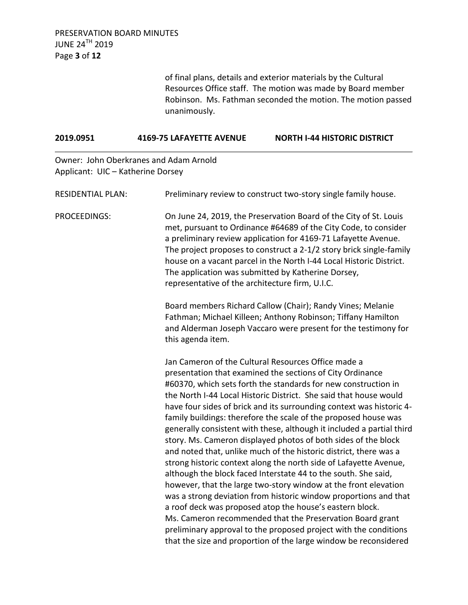of final plans, details and exterior materials by the Cultural Resources Office staff. The motion was made by Board member Robinson. Ms. Fathman seconded the motion. The motion passed unanimously.

## **2019.0951 4169-75 LAFAYETTE AVENUE NORTH I-44 HISTORIC DISTRICT**

Owner: John Oberkranes and Adam Arnold Applicant: UIC – Katherine Dorsey

| <b>RESIDENTIAL PLAN:</b> | Preliminary review to construct two-story single family house.                                                                                                                                                                                                                                                                                                                                                                                                                                                                                                                                                                                                                                                                                                                                                                                                                                                                                                                                                                                                                                                                                                    |
|--------------------------|-------------------------------------------------------------------------------------------------------------------------------------------------------------------------------------------------------------------------------------------------------------------------------------------------------------------------------------------------------------------------------------------------------------------------------------------------------------------------------------------------------------------------------------------------------------------------------------------------------------------------------------------------------------------------------------------------------------------------------------------------------------------------------------------------------------------------------------------------------------------------------------------------------------------------------------------------------------------------------------------------------------------------------------------------------------------------------------------------------------------------------------------------------------------|
| PROCEEDINGS:             | On June 24, 2019, the Preservation Board of the City of St. Louis<br>met, pursuant to Ordinance #64689 of the City Code, to consider<br>a preliminary review application for 4169-71 Lafayette Avenue.<br>The project proposes to construct a 2-1/2 story brick single-family<br>house on a vacant parcel in the North I-44 Local Historic District.<br>The application was submitted by Katherine Dorsey,<br>representative of the architecture firm, U.I.C.                                                                                                                                                                                                                                                                                                                                                                                                                                                                                                                                                                                                                                                                                                     |
|                          | Board members Richard Callow (Chair); Randy Vines; Melanie<br>Fathman; Michael Killeen; Anthony Robinson; Tiffany Hamilton<br>and Alderman Joseph Vaccaro were present for the testimony for<br>this agenda item.                                                                                                                                                                                                                                                                                                                                                                                                                                                                                                                                                                                                                                                                                                                                                                                                                                                                                                                                                 |
|                          | Jan Cameron of the Cultural Resources Office made a<br>presentation that examined the sections of City Ordinance<br>#60370, which sets forth the standards for new construction in<br>the North I-44 Local Historic District. She said that house would<br>have four sides of brick and its surrounding context was historic 4-<br>family buildings: therefore the scale of the proposed house was<br>generally consistent with these, although it included a partial third<br>story. Ms. Cameron displayed photos of both sides of the block<br>and noted that, unlike much of the historic district, there was a<br>strong historic context along the north side of Lafayette Avenue,<br>although the block faced Interstate 44 to the south. She said,<br>however, that the large two-story window at the front elevation<br>was a strong deviation from historic window proportions and that<br>a roof deck was proposed atop the house's eastern block.<br>Ms. Cameron recommended that the Preservation Board grant<br>preliminary approval to the proposed project with the conditions<br>that the size and proportion of the large window be reconsidered |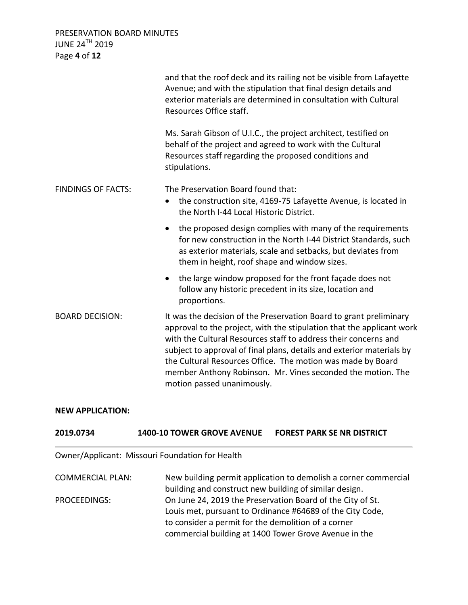PRESERVATION BOARD MINUTES JUNE 24TH 2019 Page **4** of **12**

|                           | and that the roof deck and its railing not be visible from Lafayette<br>Avenue; and with the stipulation that final design details and<br>exterior materials are determined in consultation with Cultural<br>Resources Office staff.                                                                                                                                                                                                                |
|---------------------------|-----------------------------------------------------------------------------------------------------------------------------------------------------------------------------------------------------------------------------------------------------------------------------------------------------------------------------------------------------------------------------------------------------------------------------------------------------|
|                           | Ms. Sarah Gibson of U.I.C., the project architect, testified on<br>behalf of the project and agreed to work with the Cultural<br>Resources staff regarding the proposed conditions and<br>stipulations.                                                                                                                                                                                                                                             |
| <b>FINDINGS OF FACTS:</b> | The Preservation Board found that:<br>the construction site, 4169-75 Lafayette Avenue, is located in<br>$\bullet$<br>the North I-44 Local Historic District.                                                                                                                                                                                                                                                                                        |
|                           | the proposed design complies with many of the requirements<br>$\bullet$<br>for new construction in the North I-44 District Standards, such<br>as exterior materials, scale and setbacks, but deviates from<br>them in height, roof shape and window sizes.                                                                                                                                                                                          |
|                           | the large window proposed for the front façade does not<br>follow any historic precedent in its size, location and<br>proportions.                                                                                                                                                                                                                                                                                                                  |
| <b>BOARD DECISION:</b>    | It was the decision of the Preservation Board to grant preliminary<br>approval to the project, with the stipulation that the applicant work<br>with the Cultural Resources staff to address their concerns and<br>subject to approval of final plans, details and exterior materials by<br>the Cultural Resources Office. The motion was made by Board<br>member Anthony Robinson. Mr. Vines seconded the motion. The<br>motion passed unanimously. |

#### **NEW APPLICATION:**

### **2019.0734 1400-10 TOWER GROVE AVENUE FOREST PARK SE NR DISTRICT**

Owner/Applicant: Missouri Foundation for Health

COMMERCIAL PLAN: New building permit application to demolish a corner commercial building and construct new building of similar design. PROCEEDINGS: On June 24, 2019 the Preservation Board of the City of St. Louis met, pursuant to Ordinance #64689 of the City Code, to consider a permit for the demolition of a corner commercial building at 1400 Tower Grove Avenue in the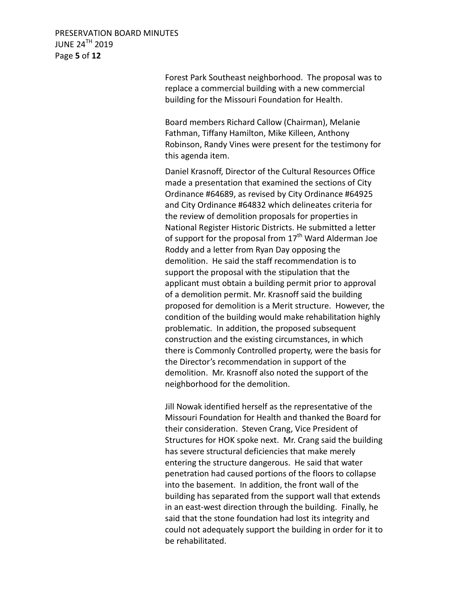PRESERVATION BOARD MINUTES JUNE 24TH 2019 Page **5** of **12**

> Forest Park Southeast neighborhood. The proposal was to replace a commercial building with a new commercial building for the Missouri Foundation for Health.

> Board members Richard Callow (Chairman), Melanie Fathman, Tiffany Hamilton, Mike Killeen, Anthony Robinson, Randy Vines were present for the testimony for this agenda item.

Daniel Krasnoff, Director of the Cultural Resources Office made a presentation that examined the sections of City Ordinance #64689, as revised by City Ordinance #64925 and City Ordinance #64832 which delineates criteria for the review of demolition proposals for properties in National Register Historic Districts. He submitted a letter of support for the proposal from  $17<sup>th</sup>$  Ward Alderman Joe Roddy and a letter from Ryan Day opposing the demolition. He said the staff recommendation is to support the proposal with the stipulation that the applicant must obtain a building permit prior to approval of a demolition permit. Mr. Krasnoff said the building proposed for demolition is a Merit structure. However, the condition of the building would make rehabilitation highly problematic. In addition, the proposed subsequent construction and the existing circumstances, in which there is Commonly Controlled property, were the basis for the Director's recommendation in support of the demolition. Mr. Krasnoff also noted the support of the neighborhood for the demolition.

Jill Nowak identified herself as the representative of the Missouri Foundation for Health and thanked the Board for their consideration. Steven Crang, Vice President of Structures for HOK spoke next. Mr. Crang said the building has severe structural deficiencies that make merely entering the structure dangerous. He said that water penetration had caused portions of the floors to collapse into the basement. In addition, the front wall of the building has separated from the support wall that extends in an east-west direction through the building. Finally, he said that the stone foundation had lost its integrity and could not adequately support the building in order for it to be rehabilitated.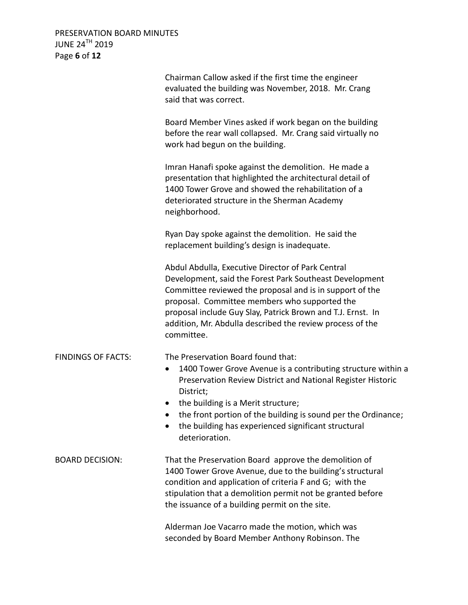PRESERVATION BOARD MINUTES JUNE 24 $^{\sf TH}$  2019 Page **6** of **12**

|                           | Chairman Callow asked if the first time the engineer<br>evaluated the building was November, 2018. Mr. Crang<br>said that was correct.                                                                                                                                                                                                                              |
|---------------------------|---------------------------------------------------------------------------------------------------------------------------------------------------------------------------------------------------------------------------------------------------------------------------------------------------------------------------------------------------------------------|
|                           | Board Member Vines asked if work began on the building<br>before the rear wall collapsed. Mr. Crang said virtually no<br>work had begun on the building.                                                                                                                                                                                                            |
|                           | Imran Hanafi spoke against the demolition. He made a<br>presentation that highlighted the architectural detail of<br>1400 Tower Grove and showed the rehabilitation of a<br>deteriorated structure in the Sherman Academy<br>neighborhood.                                                                                                                          |
|                           | Ryan Day spoke against the demolition. He said the<br>replacement building's design is inadequate.                                                                                                                                                                                                                                                                  |
|                           | Abdul Abdulla, Executive Director of Park Central<br>Development, said the Forest Park Southeast Development<br>Committee reviewed the proposal and is in support of the<br>proposal. Committee members who supported the<br>proposal include Guy Slay, Patrick Brown and T.J. Ernst. In<br>addition, Mr. Abdulla described the review process of the<br>committee. |
| <b>FINDINGS OF FACTS:</b> | The Preservation Board found that:<br>1400 Tower Grove Avenue is a contributing structure within a<br>$\bullet$<br>Preservation Review District and National Register Historic<br>District;<br>the building is a Merit structure;<br>the front portion of the building is sound per the Ordinance;                                                                  |
|                           | the building has experienced significant structural<br>deterioration.                                                                                                                                                                                                                                                                                               |
| <b>BOARD DECISION:</b>    | That the Preservation Board approve the demolition of<br>1400 Tower Grove Avenue, due to the building's structural<br>condition and application of criteria F and G; with the<br>stipulation that a demolition permit not be granted before<br>the issuance of a building permit on the site.                                                                       |
|                           | Alderman Joe Vacarro made the motion, which was<br>seconded by Board Member Anthony Robinson. The                                                                                                                                                                                                                                                                   |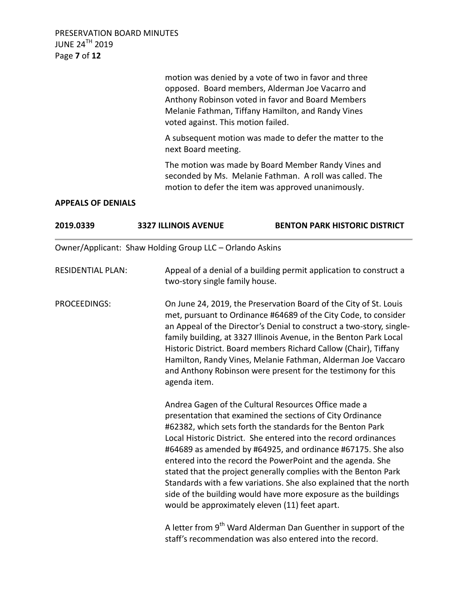PRESERVATION BOARD MINUTES JUNE 24TH 2019 Page **7** of **12**

> motion was denied by a vote of two in favor and three opposed. Board members, Alderman Joe Vacarro and Anthony Robinson voted in favor and Board Members Melanie Fathman, Tiffany Hamilton, and Randy Vines voted against. This motion failed.

A subsequent motion was made to defer the matter to the next Board meeting.

The motion was made by Board Member Randy Vines and seconded by Ms. Melanie Fathman. A roll was called. The motion to defer the item was approved unanimously.

### **APPEALS OF DENIALS**

| 2019.0339                | <b>3327 ILLINOIS AVENUE</b>                              | <b>BENTON PARK HISTORIC DISTRICT</b>                                                                                                                                                                                                                                                                                                                                                                                                                                                                                                                                                                                                         |
|--------------------------|----------------------------------------------------------|----------------------------------------------------------------------------------------------------------------------------------------------------------------------------------------------------------------------------------------------------------------------------------------------------------------------------------------------------------------------------------------------------------------------------------------------------------------------------------------------------------------------------------------------------------------------------------------------------------------------------------------------|
|                          | Owner/Applicant: Shaw Holding Group LLC - Orlando Askins |                                                                                                                                                                                                                                                                                                                                                                                                                                                                                                                                                                                                                                              |
| <b>RESIDENTIAL PLAN:</b> | two-story single family house.                           | Appeal of a denial of a building permit application to construct a                                                                                                                                                                                                                                                                                                                                                                                                                                                                                                                                                                           |
| <b>PROCEEDINGS:</b>      | agenda item.                                             | On June 24, 2019, the Preservation Board of the City of St. Louis<br>met, pursuant to Ordinance #64689 of the City Code, to consider<br>an Appeal of the Director's Denial to construct a two-story, single-<br>family building, at 3327 Illinois Avenue, in the Benton Park Local<br>Historic District. Board members Richard Callow (Chair), Tiffany<br>Hamilton, Randy Vines, Melanie Fathman, Alderman Joe Vaccaro<br>and Anthony Robinson were present for the testimony for this                                                                                                                                                       |
|                          |                                                          | Andrea Gagen of the Cultural Resources Office made a<br>presentation that examined the sections of City Ordinance<br>#62382, which sets forth the standards for the Benton Park<br>Local Historic District. She entered into the record ordinances<br>#64689 as amended by #64925, and ordinance #67175. She also<br>entered into the record the PowerPoint and the agenda. She<br>stated that the project generally complies with the Benton Park<br>Standards with a few variations. She also explained that the north<br>side of the building would have more exposure as the buildings<br>would be approximately eleven (11) feet apart. |
|                          |                                                          | A letter from 9 <sup>th</sup> Ward Alderman Dan Guenther in support of the<br>staff's recommendation was also entered into the record.                                                                                                                                                                                                                                                                                                                                                                                                                                                                                                       |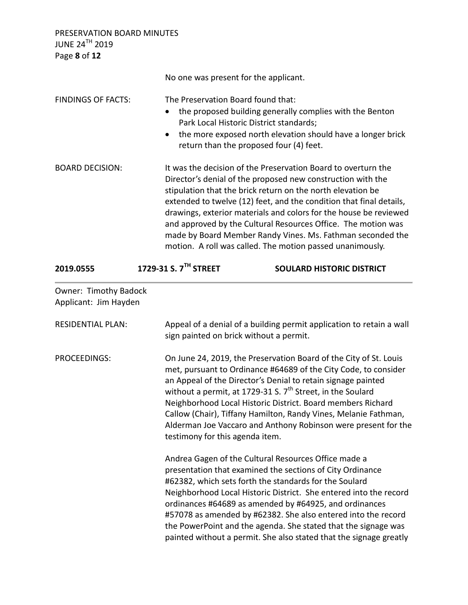PRESERVATION BOARD MINUTES JUNE 24 $^{\sf TH}$  2019 Page **8** of **12**

|                                                | No one was present for the applicant.                                                                                                                                                                                                                                                                                                                                                                                                                                                                                               |                                                                                                                                                                                                                                                                                                                                                                                                                                                                                                                       |  |
|------------------------------------------------|-------------------------------------------------------------------------------------------------------------------------------------------------------------------------------------------------------------------------------------------------------------------------------------------------------------------------------------------------------------------------------------------------------------------------------------------------------------------------------------------------------------------------------------|-----------------------------------------------------------------------------------------------------------------------------------------------------------------------------------------------------------------------------------------------------------------------------------------------------------------------------------------------------------------------------------------------------------------------------------------------------------------------------------------------------------------------|--|
| <b>FINDINGS OF FACTS:</b>                      | The Preservation Board found that:<br>$\bullet$<br>Park Local Historic District standards;<br>return than the proposed four (4) feet.                                                                                                                                                                                                                                                                                                                                                                                               | the proposed building generally complies with the Benton<br>the more exposed north elevation should have a longer brick                                                                                                                                                                                                                                                                                                                                                                                               |  |
| <b>BOARD DECISION:</b>                         | It was the decision of the Preservation Board to overturn the<br>Director's denial of the proposed new construction with the<br>stipulation that the brick return on the north elevation be<br>extended to twelve (12) feet, and the condition that final details,<br>drawings, exterior materials and colors for the house be reviewed<br>and approved by the Cultural Resources Office. The motion was<br>made by Board Member Randy Vines. Ms. Fathman seconded the<br>motion. A roll was called. The motion passed unanimously. |                                                                                                                                                                                                                                                                                                                                                                                                                                                                                                                       |  |
| 2019.0555                                      | 1729-31 S. 7TH STREET                                                                                                                                                                                                                                                                                                                                                                                                                                                                                                               | <b>SOULARD HISTORIC DISTRICT</b>                                                                                                                                                                                                                                                                                                                                                                                                                                                                                      |  |
| Owner: Timothy Badock<br>Applicant: Jim Hayden |                                                                                                                                                                                                                                                                                                                                                                                                                                                                                                                                     |                                                                                                                                                                                                                                                                                                                                                                                                                                                                                                                       |  |
| <b>RESIDENTIAL PLAN:</b>                       | sign painted on brick without a permit.                                                                                                                                                                                                                                                                                                                                                                                                                                                                                             | Appeal of a denial of a building permit application to retain a wall                                                                                                                                                                                                                                                                                                                                                                                                                                                  |  |
| PROCEEDINGS:                                   |                                                                                                                                                                                                                                                                                                                                                                                                                                                                                                                                     | On June 24, 2019, the Preservation Board of the City of St. Louis<br>met, pursuant to Ordinance #64689 of the City Code, to consider<br>an Appeal of the Director's Denial to retain signage painted<br>without a permit, at 1729-31 S. 7 <sup>th</sup> Street, in the Soulard<br>Neighborhood Local Historic District. Board members Richard<br>Callow (Chair), Tiffany Hamilton, Randy Vines, Melanie Fathman,<br>Alderman Joe Vaccaro and Anthony Robinson were present for the<br>testimony for this agenda item. |  |
|                                                |                                                                                                                                                                                                                                                                                                                                                                                                                                                                                                                                     | Andrea Gagen of the Cultural Resources Office made a<br>presentation that examined the sections of City Ordinance<br>#62382, which sets forth the standards for the Soulard<br>Neighborhood Local Historic District. She entered into the record<br>ordinances #64689 as amended by #64925, and ordinances<br>#57078 as amended by #62382. She also entered into the record<br>the PowerPoint and the agenda. She stated that the signage was                                                                         |  |

the PowerPoint and the agenda. She stated that the signage was painted without a permit. She also stated that the signage greatly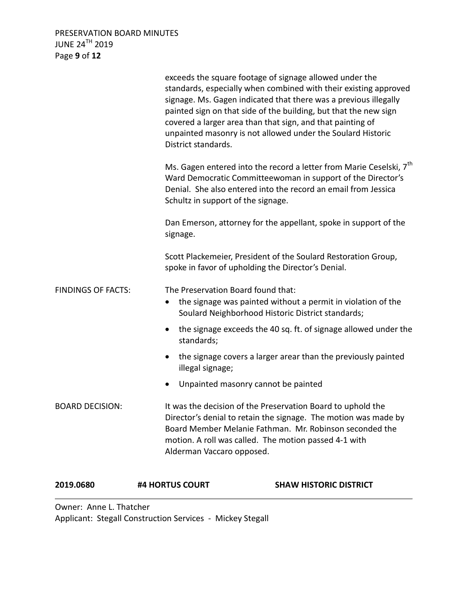PRESERVATION BOARD MINUTES JUNE 24<sup>TH</sup> 2019 Page **9** of **12**

| 2019.0680                 | #4 HORTUS COURT                    | <b>SHAW HISTORIC DISTRICT</b>                                                                                                                                                                                                                                                                                                                                                                    |
|---------------------------|------------------------------------|--------------------------------------------------------------------------------------------------------------------------------------------------------------------------------------------------------------------------------------------------------------------------------------------------------------------------------------------------------------------------------------------------|
| <b>BOARD DECISION:</b>    | Alderman Vaccaro opposed.          | It was the decision of the Preservation Board to uphold the<br>Director's denial to retain the signage. The motion was made by<br>Board Member Melanie Fathman. Mr. Robinson seconded the<br>motion. A roll was called. The motion passed 4-1 with                                                                                                                                               |
|                           |                                    | Unpainted masonry cannot be painted                                                                                                                                                                                                                                                                                                                                                              |
|                           | illegal signage;                   | the signage covers a larger arear than the previously painted                                                                                                                                                                                                                                                                                                                                    |
|                           | standards;                         | the signage exceeds the 40 sq. ft. of signage allowed under the                                                                                                                                                                                                                                                                                                                                  |
| <b>FINDINGS OF FACTS:</b> | The Preservation Board found that: | the signage was painted without a permit in violation of the<br>Soulard Neighborhood Historic District standards;                                                                                                                                                                                                                                                                                |
|                           |                                    | Scott Plackemeier, President of the Soulard Restoration Group,<br>spoke in favor of upholding the Director's Denial.                                                                                                                                                                                                                                                                             |
|                           | signage.                           | Dan Emerson, attorney for the appellant, spoke in support of the                                                                                                                                                                                                                                                                                                                                 |
|                           | Schultz in support of the signage. | Ms. Gagen entered into the record a letter from Marie Ceselski, 7 <sup>th</sup><br>Ward Democratic Committeewoman in support of the Director's<br>Denial. She also entered into the record an email from Jessica                                                                                                                                                                                 |
|                           | District standards.                | exceeds the square footage of signage allowed under the<br>standards, especially when combined with their existing approved<br>signage. Ms. Gagen indicated that there was a previous illegally<br>painted sign on that side of the building, but that the new sign<br>covered a larger area than that sign, and that painting of<br>unpainted masonry is not allowed under the Soulard Historic |

Owner: Anne L. Thatcher Applicant: Stegall Construction Services - Mickey Stegall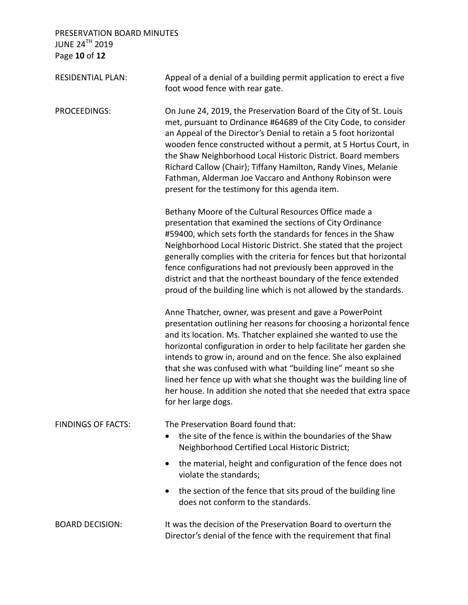PRESERVATION BOARD MINUTES JUNE 24 $^{\sf TH}$  2019 Page **10** of **12**

| <b>RESIDENTIAL PLAN:</b>  | Appeal of a denial of a building permit application to erect a five<br>foot wood fence with rear gate.                                                                                                                                                                                                                                                                                                                                                                                                                                                                     |
|---------------------------|----------------------------------------------------------------------------------------------------------------------------------------------------------------------------------------------------------------------------------------------------------------------------------------------------------------------------------------------------------------------------------------------------------------------------------------------------------------------------------------------------------------------------------------------------------------------------|
| PROCEEDINGS:              | On June 24, 2019, the Preservation Board of the City of St. Louis<br>met, pursuant to Ordinance #64689 of the City Code, to consider<br>an Appeal of the Director's Denial to retain a 5 foot horizontal<br>wooden fence constructed without a permit, at 5 Hortus Court, in<br>the Shaw Neighborhood Local Historic District. Board members<br>Richard Callow (Chair); Tiffany Hamilton, Randy Vines, Melanie<br>Fathman, Alderman Joe Vaccaro and Anthony Robinson were<br>present for the testimony for this agenda item.                                               |
|                           | Bethany Moore of the Cultural Resources Office made a<br>presentation that examined the sections of City Ordinance<br>#59400, which sets forth the standards for fences in the Shaw<br>Neighborhood Local Historic District. She stated that the project<br>generally complies with the criteria for fences but that horizontal<br>fence configurations had not previously been approved in the<br>district and that the northeast boundary of the fence extended<br>proud of the building line which is not allowed by the standards.                                     |
|                           | Anne Thatcher, owner, was present and gave a PowerPoint<br>presentation outlining her reasons for choosing a horizontal fence<br>and its location. Ms. Thatcher explained she wanted to use the<br>horizontal configuration in order to help facilitate her garden she<br>intends to grow in, around and on the fence. She also explained<br>that she was confused with what "building line" meant so she<br>lined her fence up with what she thought was the building line of<br>her house. In addition she noted that she needed that extra space<br>for her large dogs. |
| <b>FINDINGS OF FACTS:</b> | The Preservation Board found that:<br>the site of the fence is within the boundaries of the Shaw<br>Neighborhood Certified Local Historic District;                                                                                                                                                                                                                                                                                                                                                                                                                        |
|                           | the material, height and configuration of the fence does not<br>violate the standards;                                                                                                                                                                                                                                                                                                                                                                                                                                                                                     |
|                           | the section of the fence that sits proud of the building line<br>does not conform to the standards.                                                                                                                                                                                                                                                                                                                                                                                                                                                                        |
| <b>BOARD DECISION:</b>    | It was the decision of the Preservation Board to overturn the<br>Director's denial of the fence with the requirement that final                                                                                                                                                                                                                                                                                                                                                                                                                                            |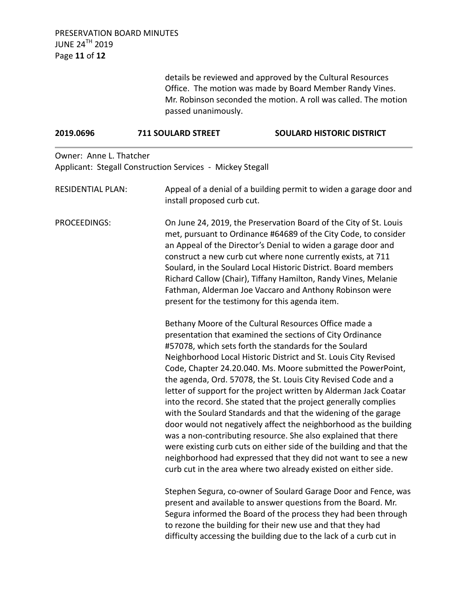details be reviewed and approved by the Cultural Resources Office. The motion was made by Board Member Randy Vines. Mr. Robinson seconded the motion. A roll was called. The motion passed unanimously.

| 2019.0696                | <b>711 SOULARD STREET</b>                                 | <b>SOULARD HISTORIC DISTRICT</b>                                                                                                                                                                                                                                                                                                                                                                                                                                                                                                                                                                                                                                                                                                                                                                                                                                                                                                             |  |
|--------------------------|-----------------------------------------------------------|----------------------------------------------------------------------------------------------------------------------------------------------------------------------------------------------------------------------------------------------------------------------------------------------------------------------------------------------------------------------------------------------------------------------------------------------------------------------------------------------------------------------------------------------------------------------------------------------------------------------------------------------------------------------------------------------------------------------------------------------------------------------------------------------------------------------------------------------------------------------------------------------------------------------------------------------|--|
| Owner: Anne L. Thatcher  | Applicant: Stegall Construction Services - Mickey Stegall |                                                                                                                                                                                                                                                                                                                                                                                                                                                                                                                                                                                                                                                                                                                                                                                                                                                                                                                                              |  |
| <b>RESIDENTIAL PLAN:</b> |                                                           | Appeal of a denial of a building permit to widen a garage door and<br>install proposed curb cut.                                                                                                                                                                                                                                                                                                                                                                                                                                                                                                                                                                                                                                                                                                                                                                                                                                             |  |
| PROCEEDINGS:             |                                                           | On June 24, 2019, the Preservation Board of the City of St. Louis<br>met, pursuant to Ordinance #64689 of the City Code, to consider<br>an Appeal of the Director's Denial to widen a garage door and<br>construct a new curb cut where none currently exists, at 711<br>Soulard, in the Soulard Local Historic District. Board members<br>Richard Callow (Chair), Tiffany Hamilton, Randy Vines, Melanie<br>Fathman, Alderman Joe Vaccaro and Anthony Robinson were<br>present for the testimony for this agenda item.                                                                                                                                                                                                                                                                                                                                                                                                                      |  |
|                          |                                                           | Bethany Moore of the Cultural Resources Office made a<br>presentation that examined the sections of City Ordinance<br>#57078, which sets forth the standards for the Soulard<br>Neighborhood Local Historic District and St. Louis City Revised<br>Code, Chapter 24.20.040. Ms. Moore submitted the PowerPoint,<br>the agenda, Ord. 57078, the St. Louis City Revised Code and a<br>letter of support for the project written by Alderman Jack Coatar<br>into the record. She stated that the project generally complies<br>with the Soulard Standards and that the widening of the garage<br>door would not negatively affect the neighborhood as the building<br>was a non-contributing resource. She also explained that there<br>were existing curb cuts on either side of the building and that the<br>neighborhood had expressed that they did not want to see a new<br>curb cut in the area where two already existed on either side. |  |
|                          |                                                           | Stephen Segura, co-owner of Soulard Garage Door and Fence, was<br>present and available to answer questions from the Board. Mr.<br>Segura informed the Board of the process they had been through<br>to rezone the building for their new use and that they had<br>difficulty accessing the building due to the lack of a curb cut in                                                                                                                                                                                                                                                                                                                                                                                                                                                                                                                                                                                                        |  |